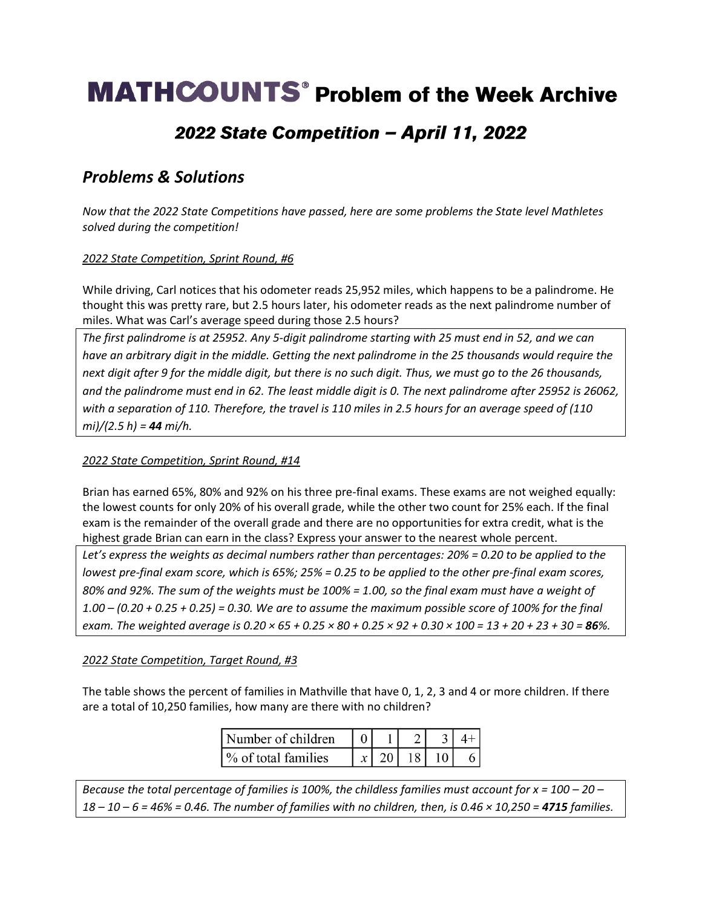# **MATHCOUNTS<sup>®</sup> Problem of the Week Archive**

## 2022 State Competition - April 11, 2022

### *Problems & Solutions*

*Now that the 2022 State Competitions have passed, here are some problems the State level Mathletes solved during the competition!*

### *2022 State Competition, Sprint Round, #6*

While driving, Carl notices that his odometer reads 25,952 miles, which happens to be a palindrome. He thought this was pretty rare, but 2.5 hours later, his odometer reads as the next palindrome number of miles. What was Carl's average speed during those 2.5 hours?

*The first palindrome is at 25952. Any 5-digit palindrome starting with 25 must end in 52, and we can have an arbitrary digit in the middle. Getting the next palindrome in the 25 thousands would require the next digit after 9 for the middle digit, but there is no such digit. Thus, we must go to the 26 thousands, and the palindrome must end in 62. The least middle digit is 0. The next palindrome after 25952 is 26062, with a separation of 110. Therefore, the travel is 110 miles in 2.5 hours for an average speed of (110 mi)/(2.5 h) = 44 mi/h.* 

#### *2022 State Competition, Sprint Round, #14*

Brian has earned 65%, 80% and 92% on his three pre-final exams. These exams are not weighed equally: the lowest counts for only 20% of his overall grade, while the other two count for 25% each. If the final exam is the remainder of the overall grade and there are no opportunities for extra credit, what is the highest grade Brian can earn in the class? Express your answer to the nearest whole percent.

*Let's express the weights as decimal numbers rather than percentages: 20% = 0.20 to be applied to the lowest pre-final exam score, which is 65%; 25% = 0.25 to be applied to the other pre-final exam scores, 80% and 92%. The sum of the weights must be 100% = 1.00, so the final exam must have a weight of 1.00 – (0.20 + 0.25 + 0.25) = 0.30. We are to assume the maximum possible score of 100% for the final exam. The weighted average is 0.20 × 65 + 0.25 × 80 + 0.25 × 92 + 0.30 × 100 = 13 + 20 + 23 + 30 = 86%.* 

### *2022 State Competition, Target Round, #3*

The table shows the percent of families in Mathville that have 0, 1, 2, 3 and 4 or more children. If there are a total of 10,250 families, how many are there with no children?

| Number of children    |  |  |  |
|-----------------------|--|--|--|
| 1\% of total families |  |  |  |

*Because the total percentage of families is 100%, the childless families must account for x = 100 – 20 – 18 – 10 – 6 = 46% = 0.46. The number of families with no children, then, is 0.46 × 10,250 = 4715 families.*